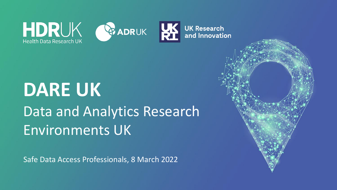

# **DARE UK** Data and Analytics Research Environments UK

Safe Data Access Professionals, 8 March 2022

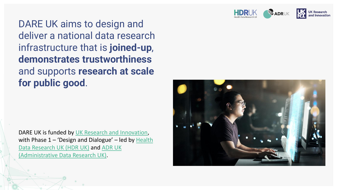

DARE UK aims to design and deliver a national data research infrastructure that is **joined-up**, **demonstrates trustworthiness**  and supports **research at scale for public good**.

DARE UK is funded by [UK Research and Innovation,](http://www.ukri.org/) with Phase  $1 - '$ Design and Dialogue' – led by Health [Data Research UK \(HDR UK\)](http://www.hdruk.ac.uk/) and ADR UK [\(Administrative Data Research UK\).](http://www.adruk.org/)

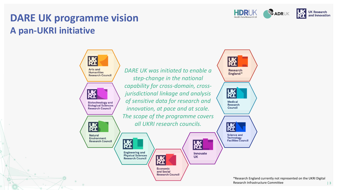

# **DARE UK programme vision A pan-UKRI initiative**



*DARE UK was initiated to enable a step-change in the national capability for cross-domain, crossjurisdictional linkage and analysis of sensitive data for research and innovation, at pace and at scale. The scope of the programme covers all UKRI research councils.*

版

Economic and Social **Research Council** 



阪 **Innovate UK** 



\*Research England currently not represented on the UKRI Digital Research Infrastructure Committee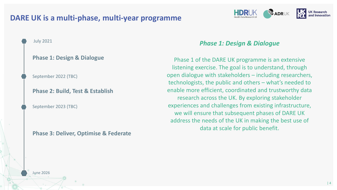#### **DARE UK is a multi-phase, multi-year programme**



#### **Phase 1: Design & Dialogue**

September 2022 (TBC)

**Phase 2: Build, Test & Establish**

September 2023 (TBC)

June 2026

**Phase 3: Deliver, Optimise & Federate**

#### *Phase 1: Design & Dialogue*

**HDRUK** 

**BADRUK** 

**UK Research** 

Phase 1 of the DARE UK programme is an extensive listening exercise. The goal is to understand, through open dialogue with stakeholders – including researchers, technologists, the public and others – what's needed to enable more efficient, coordinated and trustworthy data research across the UK. By exploring stakeholder experiences and challenges from existing infrastructure, we will ensure that subsequent phases of DARE UK address the needs of the UK in making the best use of data at scale for public benefit.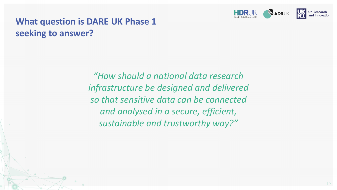

# **What question is DARE UK Phase 1 seeking to answer?**

*"How should a national data research infrastructure be designed and delivered so that sensitive data can be connected and analysed in a secure, efficient, sustainable and trustworthy way?"*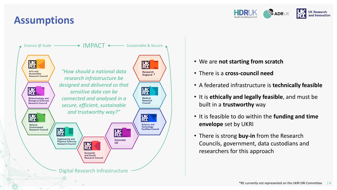# **Assumptions**





- We are **not starting from scratch**
- There is a **cross-council need**
- A federated infrastructure is **technically feasible**
- It is **ethically and legally feasible**, and must be built in a **trustworthy** way
- It is feasible to do within the **funding and time envelope** set by UKRI
- There is strong **buy-in** from the Research Councils, government, data custodians and researchers for this approach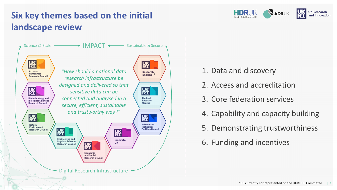## **Six key themes based on the initial landscape review**



- 1. Data and discovery
- 2. Access and accreditation

HDRUK

**DE ADRUK** 

**UK Research** and Innovation

- 3. Core federation services
- 4. Capability and capacity building
- 5. Demonstrating trustworthiness
- 6. Funding and incentives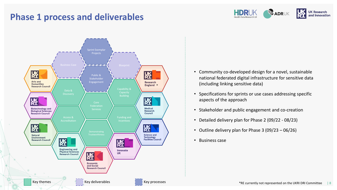#### **Phase 1 process and deliverables**





- Community co-developed design for a novel, sustainable national federated digital infrastructure for sensitive data (including linking sensitive data)
- Specifications for sprints or use cases addressing specific aspects of the approach
- Stakeholder and public engagement and co-creation
- Detailed delivery plan for Phase 2 (09/22 08/23)
- Outline delivery plan for Phase 3 (09/23 06/26)
- Business case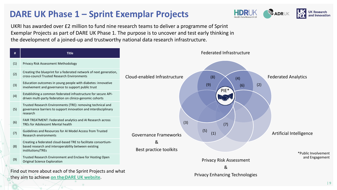### **DARE UK Phase 1 – Sprint Exemplar Projects**



UKRI has awarded over £2 million to fund nine research teams to deliver a programme of Sprint Exemplar Projects as part of DARE UK Phase 1. The purpose is to uncover and test early thinking in the development of a joined-up and trustworthy national data research infrastructure.



they aim to achieve **[on the DARE UK website](https://dareuk.org.uk/our-work/sprint-exemplar-projects/)**.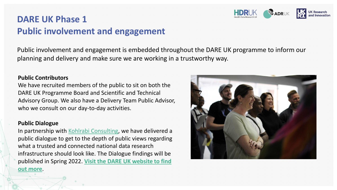## **DARE UK Phase 1 Public involvement and engagement**

Public involvement and engagement is embedded throughout the DARE UK programme to inform our planning and delivery and make sure we are working in a trustworthy way.

#### **Public Contributors**

We have recruited members of the public to sit on both the DARE UK Programme Board and Scientific and Technical Advisory Group. We also have a Delivery Team Public Advisor, who we consult on our day-to-day activities.

#### **Public Dialogue**

In partnership with [Kohlrabi Consulting,](https://www.kohlrabiconsulting.co.uk/) we have delivered a public dialogue to get to the depth of public views regarding what a trusted and connected national data research infrastructure should look like. The Dialogue findings will be published in Spring 2022. **[Visit the DARE UK website to find](https://dareuk.org.uk/involving-the-public/) out more**.



**BEADRUK**